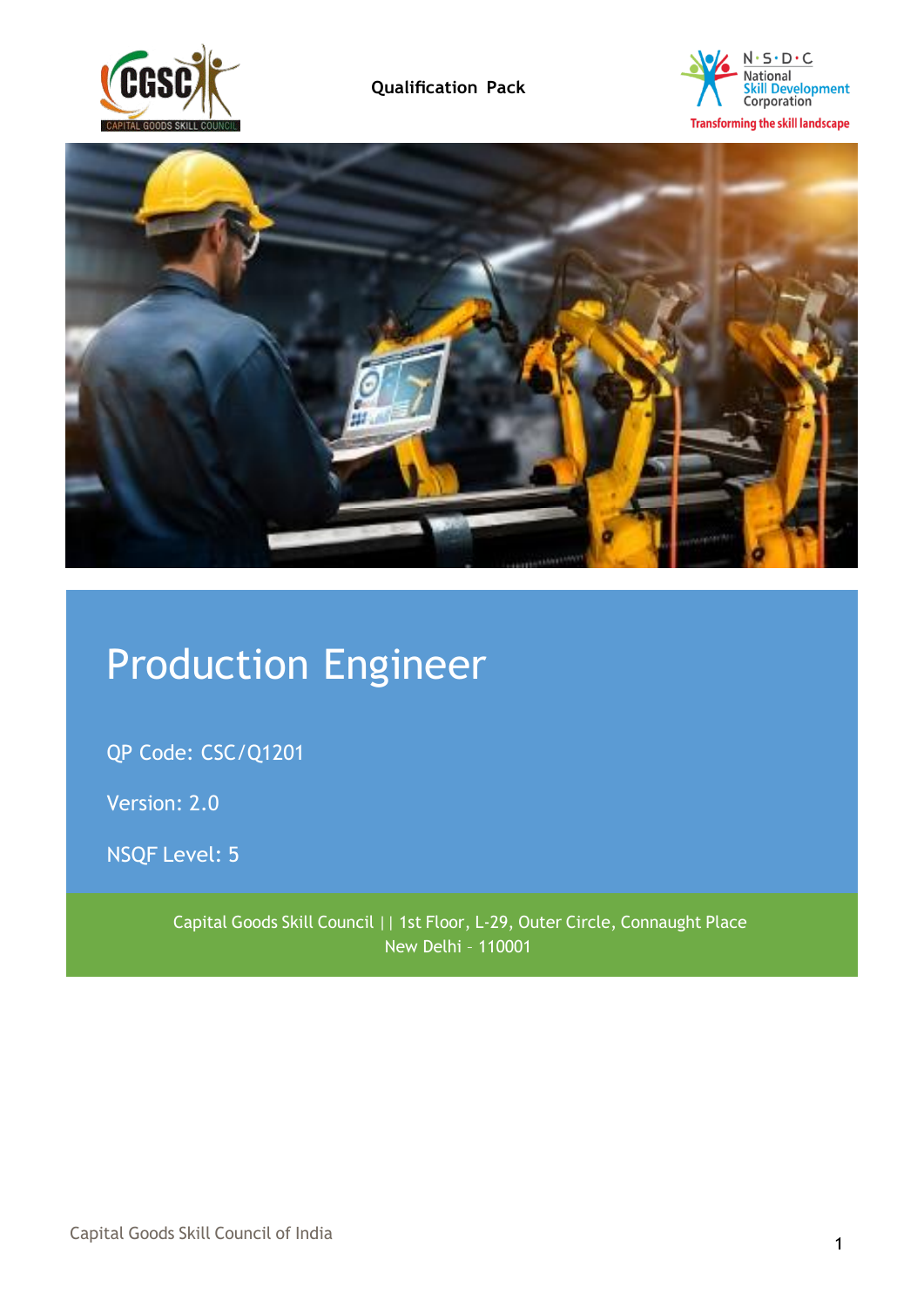





# Production Engineer

QP Code: CSC/Q1201

Version: 2.0

NSQF Level: 5

Capital Goods Skill Council || 1st Floor, L-29, Outer Circle, Connaught Place New Delhi – 110001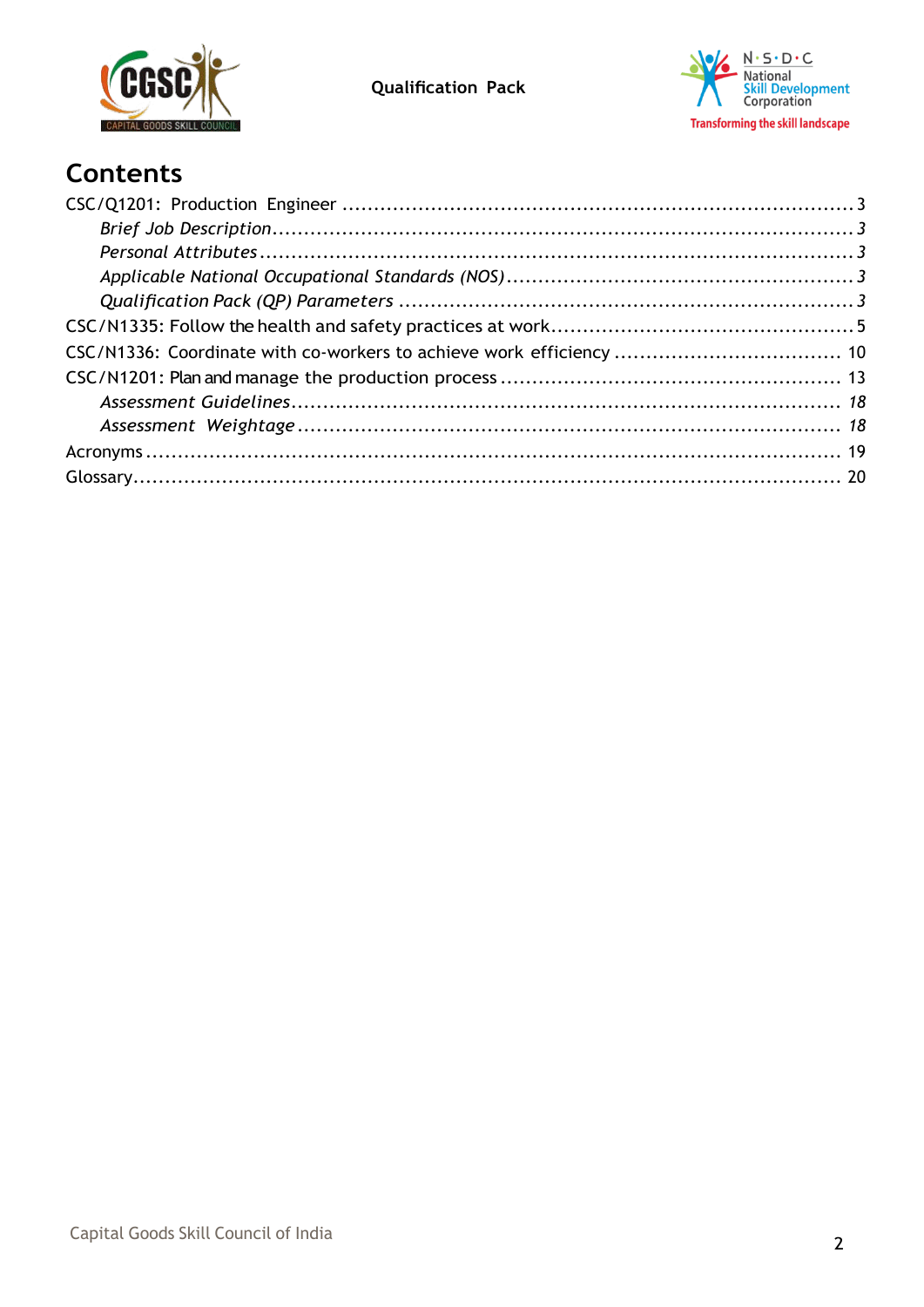



# **Contents**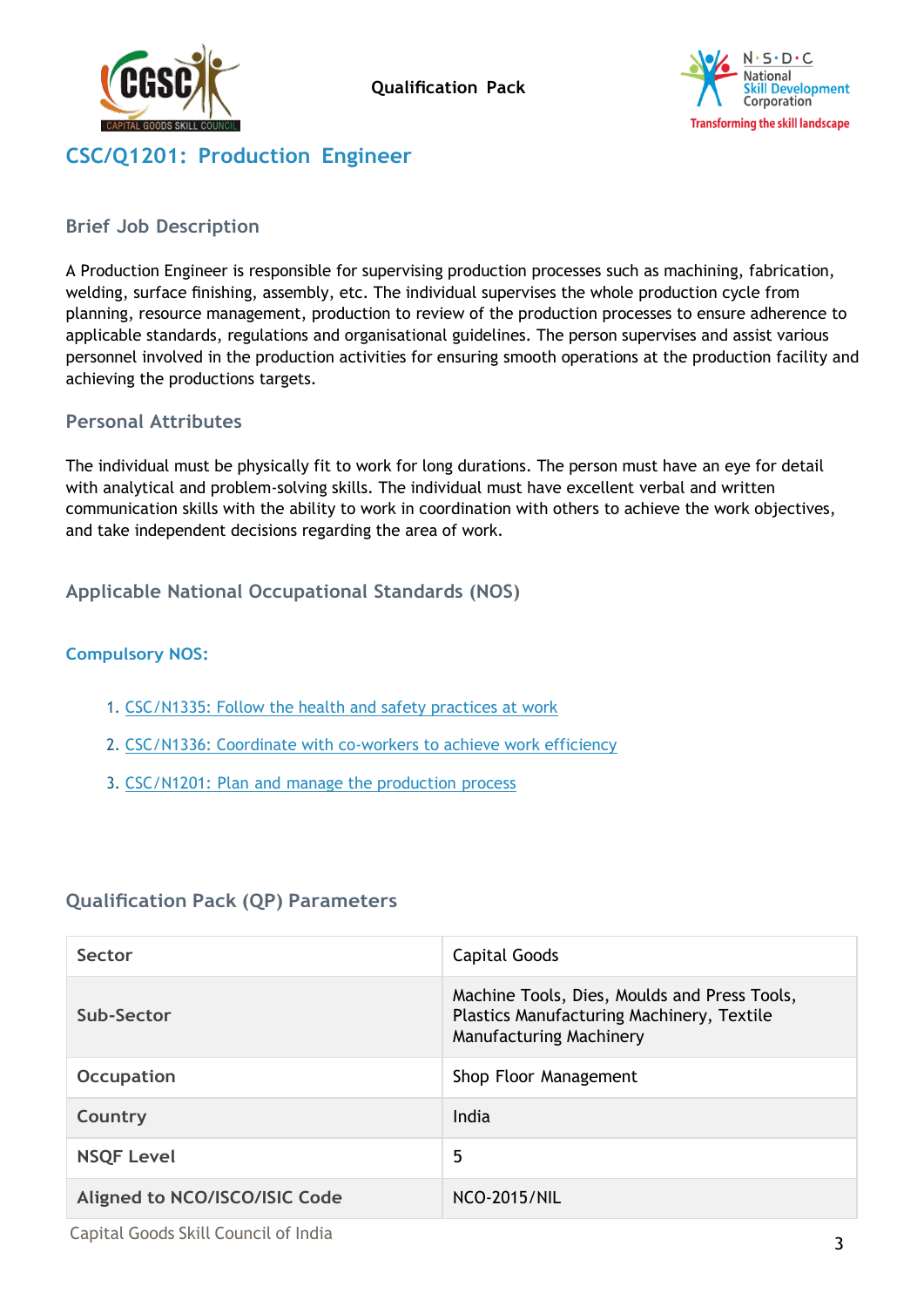



# <span id="page-2-0"></span>**CSC/Q1201: Production Engineer**

#### <span id="page-2-1"></span>**Brief Job Description**

A Production Engineer is responsible for supervising production processes such as machining, fabrication, welding, surface finishing, assembly, etc. The individual supervises the whole production cycle from planning, resource management, production to review of the production processes to ensure adherence to applicable standards, regulations and organisational guidelines. The person supervises and assist various personnel involved in the production activities for ensuring smooth operations at the production facility and achieving the productions targets.

#### <span id="page-2-2"></span>**Personal Attributes**

The individual must be physically fit to work for long durations. The person must have an eye for detail with analytical and problem-solving skills. The individual must have excellent verbal and written communication skills with the ability to work in coordination with others to achieve the work objectives, and take independent decisions regarding the area of work.

#### <span id="page-2-3"></span>**Applicable National Occupational Standards (NOS)**

#### **Compulsory NOS:**

- 1. CSC/N1335: Follow the health and safety practices at work
- 2. CSC/N1336: Coordinate with co-workers to achieve work efficiency
- 3. CSC/N1201: Plan and manage the production process

#### <span id="page-2-4"></span>**Qualification Pack (QP) Parameters**

| Sector                        | Capital Goods                                                                                                        |
|-------------------------------|----------------------------------------------------------------------------------------------------------------------|
| Sub-Sector                    | Machine Tools, Dies, Moulds and Press Tools,<br>Plastics Manufacturing Machinery, Textile<br>Manufacturing Machinery |
| <b>Occupation</b>             | Shop Floor Management                                                                                                |
| Country                       | India                                                                                                                |
| <b>NSQF Level</b>             | 5                                                                                                                    |
| Aligned to NCO/ISCO/ISIC Code | <b>NCO-2015/NIL</b>                                                                                                  |

Capital Goods Skill Council of India <sup>3</sup>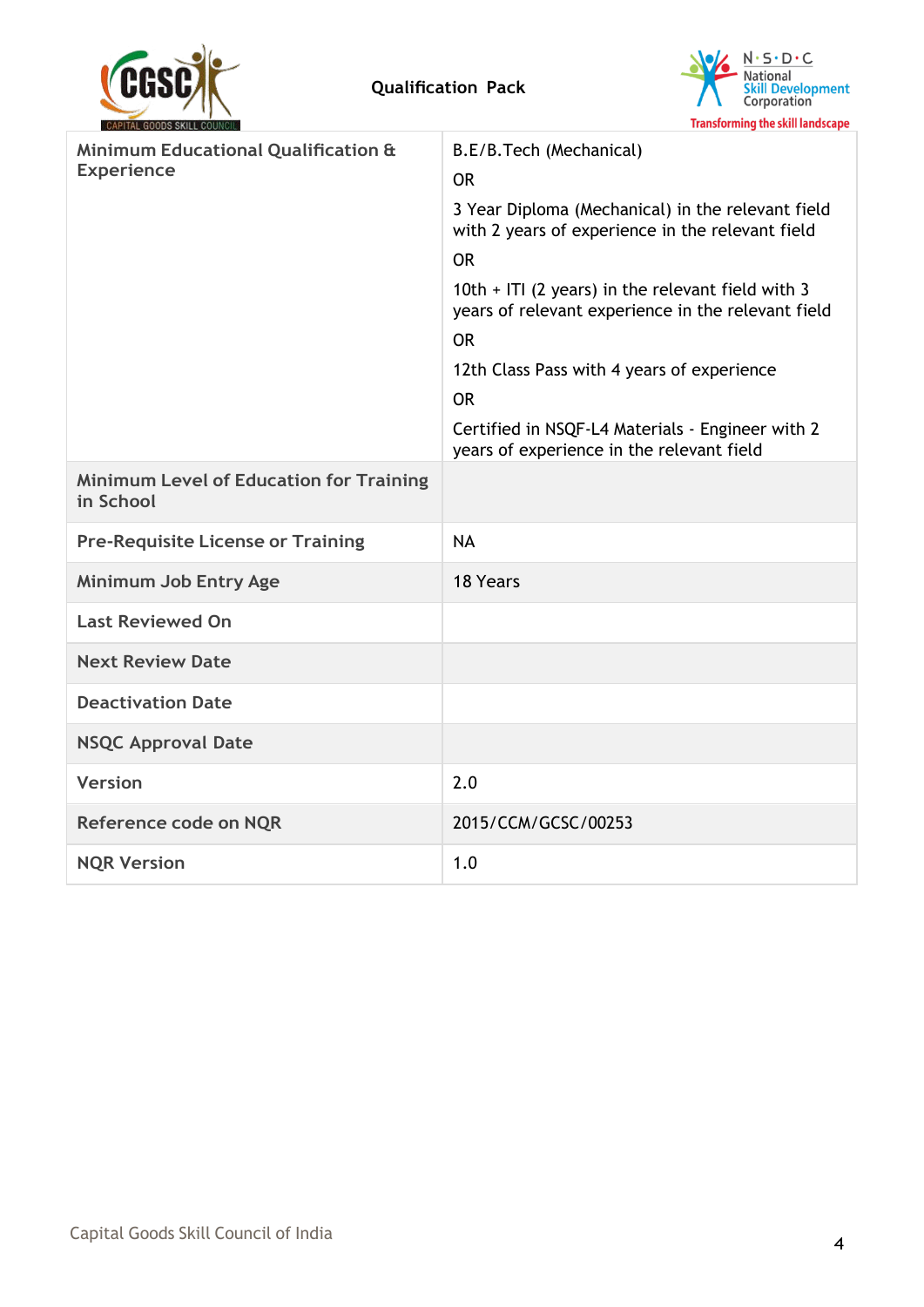



| <b><i>URPLIAL GUUDS SNILL COUNCIL</i></b>                           | <b>Hansionning</b> the skill landscape                                                                    |
|---------------------------------------------------------------------|-----------------------------------------------------------------------------------------------------------|
| <b>Minimum Educational Qualification &amp;</b><br><b>Experience</b> | B.E/B.Tech (Mechanical)<br><b>OR</b>                                                                      |
|                                                                     | 3 Year Diploma (Mechanical) in the relevant field<br>with 2 years of experience in the relevant field     |
|                                                                     | <b>OR</b>                                                                                                 |
|                                                                     | 10th $+$ ITI (2 years) in the relevant field with 3<br>years of relevant experience in the relevant field |
|                                                                     | <b>OR</b>                                                                                                 |
|                                                                     | 12th Class Pass with 4 years of experience                                                                |
|                                                                     | <b>OR</b>                                                                                                 |
|                                                                     | Certified in NSQF-L4 Materials - Engineer with 2<br>years of experience in the relevant field             |
| <b>Minimum Level of Education for Training</b><br>in School         |                                                                                                           |
| <b>Pre-Requisite License or Training</b>                            | <b>NA</b>                                                                                                 |
| Minimum Job Entry Age                                               | 18 Years                                                                                                  |
| <b>Last Reviewed On</b>                                             |                                                                                                           |
| <b>Next Review Date</b>                                             |                                                                                                           |
| <b>Deactivation Date</b>                                            |                                                                                                           |
| <b>NSQC Approval Date</b>                                           |                                                                                                           |
| <b>Version</b>                                                      | 2.0                                                                                                       |
| Reference code on NQR                                               | 2015/CCM/GCSC/00253                                                                                       |
| <b>NQR Version</b>                                                  | 1.0                                                                                                       |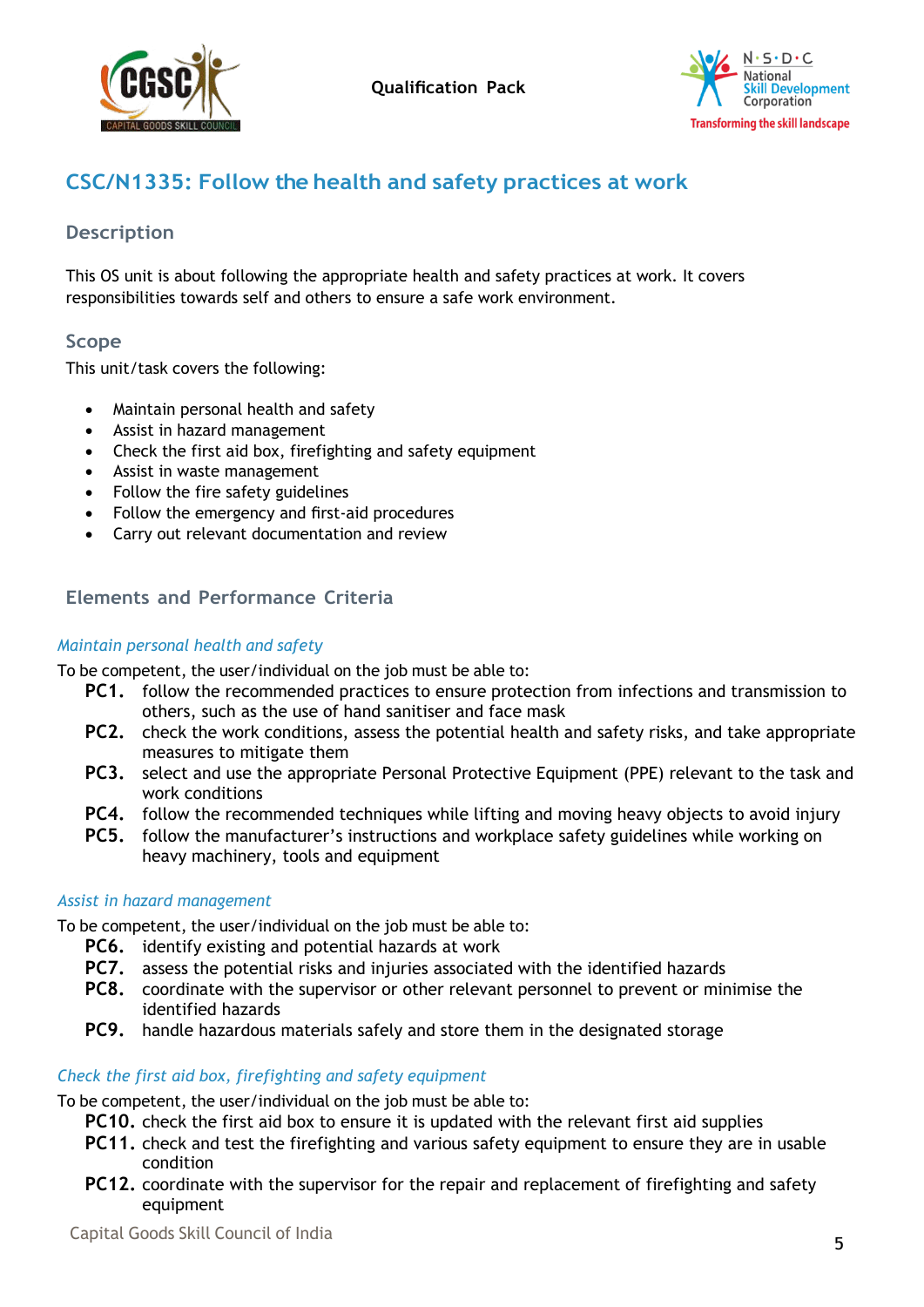



# <span id="page-4-0"></span>**CSC/N1335: Follow the health and safety practices at work**

### **Description**

This OS unit is about following the appropriate health and safety practices at work. It covers responsibilities towards self and others to ensure a safe work environment.

### **Scope**

This unit/task covers the following:

- Maintain personal health and safety
- Assist in hazard management
- Check the first aid box, firefighting and safety equipment
- Assist in waste management
- Follow the fire safety guidelines
- Follow the emergency and first-aid procedures
- Carry out relevant documentation and review

# **Elements and Performance Criteria**

#### *Maintain personal health and safety*

To be competent, the user/individual on the job must be able to:

- **PC1.** follow the recommended practices to ensure protection from infections and transmission to others, such as the use of hand sanitiser and face mask
- **PC2.** check the work conditions, assess the potential health and safety risks, and take appropriate measures to mitigate them
- **PC3.** select and use the appropriate Personal Protective Equipment (PPE) relevant to the task and work conditions
- **PC4.** follow the recommended techniques while lifting and moving heavy objects to avoid injury
- **PC5.** follow the manufacturer's instructions and workplace safety guidelines while working on heavy machinery, tools and equipment

#### *Assist in hazard management*

To be competent, the user/individual on the job must be able to:

- **PC6.** identify existing and potential hazards at work
- **PC7.** assess the potential risks and injuries associated with the identified hazards
- **PC8.** coordinate with the supervisor or other relevant personnel to prevent or minimise the identified hazards
- **PC9.** handle hazardous materials safely and store them in the designated storage

#### *Check the first aid box, firefighting and safety equipment*

To be competent, the user/individual on the job must be able to:

**PC10.** check the first aid box to ensure it is updated with the relevant first aid supplies

- **PC11.** check and test the firefighting and various safety equipment to ensure they are in usable condition
- **PC12.** coordinate with the supervisor for the repair and replacement of firefighting and safety equipment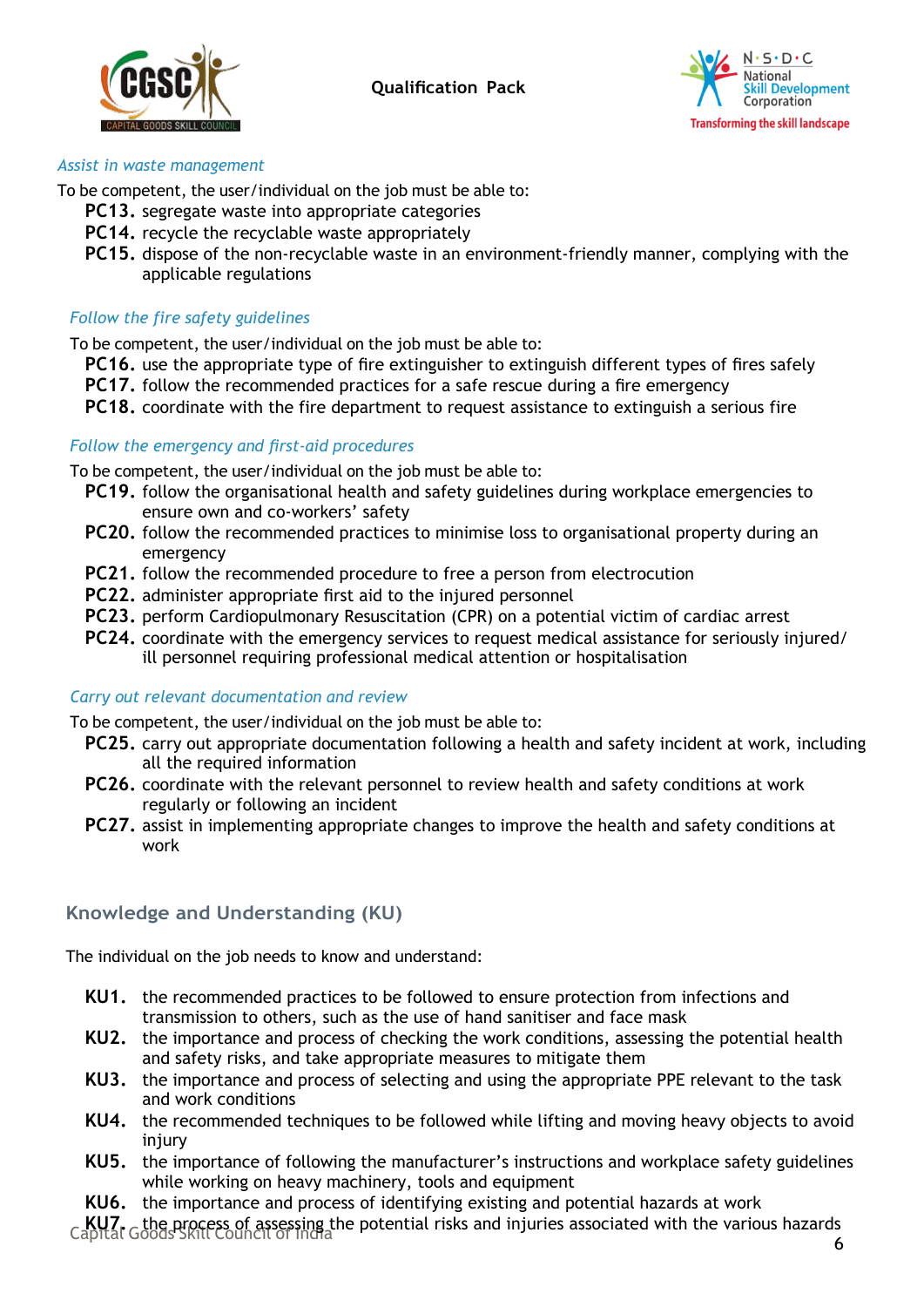



#### *Assist in waste management*

To be competent, the user/individual on the job must be able to:

- **PC13.** segregate waste into appropriate categories
- **PC14.** recycle the recyclable waste appropriately
- **PC15.** dispose of the non-recyclable waste in an environment-friendly manner, complying with the applicable regulations

#### *Follow the fire safety guidelines*

To be competent, the user/individual on the job must be able to:

- **PC16.** use the appropriate type of fire extinguisher to extinguish different types of fires safely
- **PC17.** follow the recommended practices for a safe rescue during a fire emergency
- **PC18.** coordinate with the fire department to request assistance to extinguish a serious fire

#### *Follow the emergency and first-aid procedures*

To be competent, the user/individual on the job must be able to:

- **PC19.** follow the organisational health and safety guidelines during workplace emergencies to ensure own and co-workers' safety
- **PC20.** follow the recommended practices to minimise loss to organisational property during an emergency
- **PC21.** follow the recommended procedure to free a person from electrocution
- **PC22.** administer appropriate first aid to the injured personnel
- **PC23.** perform Cardiopulmonary Resuscitation (CPR) on a potential victim of cardiac arrest
- **PC24.** coordinate with the emergency services to request medical assistance for seriously injured/ ill personnel requiring professional medical attention or hospitalisation

#### *Carry out relevant documentation and review*

To be competent, the user/individual on the job must be able to:

- **PC25.** carry out appropriate documentation following a health and safety incident at work, including all the required information
- **PC26.** coordinate with the relevant personnel to review health and safety conditions at work regularly or following an incident
- **PC27.** assist in implementing appropriate changes to improve the health and safety conditions at work

#### **Knowledge and Understanding (KU)**

The individual on the job needs to know and understand:

- **KU1.** the recommended practices to be followed to ensure protection from infections and transmission to others, such as the use of hand sanitiser and face mask
- **KU2.** the importance and process of checking the work conditions, assessing the potential health and safety risks, and take appropriate measures to mitigate them
- **KU3.** the importance and process of selecting and using the appropriate PPE relevant to the task and work conditions
- **KU4.** the recommended techniques to be followed while lifting and moving heavy objects to avoid injury
- **KU5.** the importance of following the manufacturer's instructions and workplace safety guidelines while working on heavy machinery, tools and equipment
- **KU6.** the importance and process of identifying existing and potential hazards at work

Capital Goods Skill Council of India <sup>6</sup> **KU7.** the process of assessing the potential risks and injuries associated with the various hazards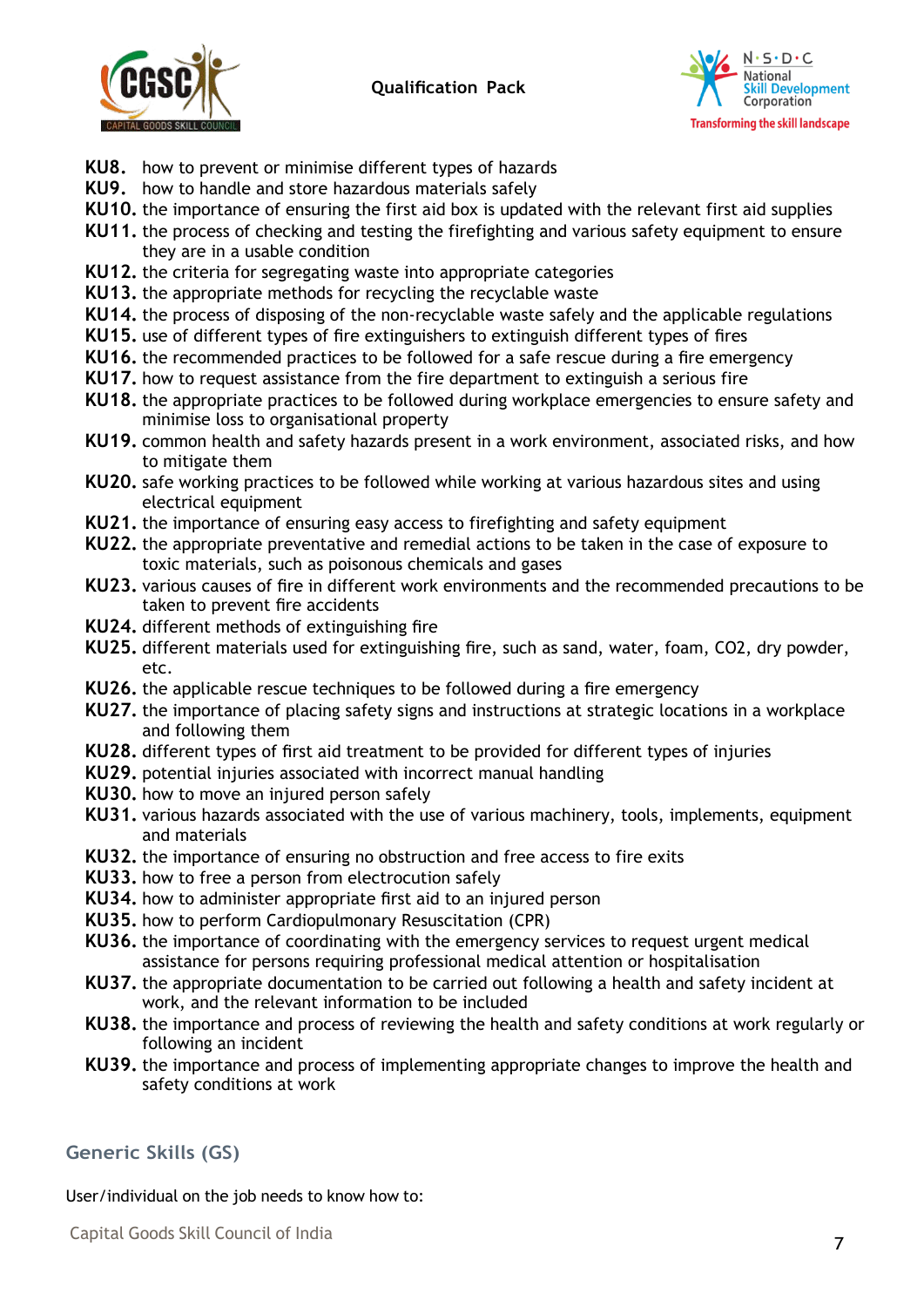



- **KU8.** how to prevent or minimise different types of hazards
- **KU9.** how to handle and store hazardous materials safely
- **KU10.** the importance of ensuring the first aid box is updated with the relevant first aid supplies
- **KU11.** the process of checking and testing the firefighting and various safety equipment to ensure they are in a usable condition
- **KU12.** the criteria for segregating waste into appropriate categories
- **KU13.** the appropriate methods for recycling the recyclable waste
- **KU14.** the process of disposing of the non-recyclable waste safely and the applicable regulations
- **KU15.** use of different types of fire extinguishers to extinguish different types of fires
- **KU16.** the recommended practices to be followed for a safe rescue during a fire emergency
- **KU17.** how to request assistance from the fire department to extinguish a serious fire
- **KU18.** the appropriate practices to be followed during workplace emergencies to ensure safety and minimise loss to organisational property
- **KU19.** common health and safety hazards present in a work environment, associated risks, and how to mitigate them
- **KU20.** safe working practices to be followed while working at various hazardous sites and using electrical equipment
- **KU21.** the importance of ensuring easy access to firefighting and safety equipment
- **KU22.** the appropriate preventative and remedial actions to be taken in the case of exposure to toxic materials, such as poisonous chemicals and gases
- **KU23.** various causes of fire in different work environments and the recommended precautions to be taken to prevent fire accidents
- **KU24.** different methods of extinguishing fire
- **KU25.** different materials used for extinguishing fire, such as sand, water, foam, CO2, dry powder, etc.
- **KU26.** the applicable rescue techniques to be followed during a fire emergency
- **KU27.** the importance of placing safety signs and instructions at strategic locations in a workplace and following them
- **KU28.** different types of first aid treatment to be provided for different types of injuries
- **KU29.** potential injuries associated with incorrect manual handling
- **KU30.** how to move an injured person safely
- **KU31.** various hazards associated with the use of various machinery, tools, implements, equipment and materials
- **KU32.** the importance of ensuring no obstruction and free access to fire exits
- **KU33.** how to free a person from electrocution safely
- **KU34.** how to administer appropriate first aid to an injured person
- **KU35.** how to perform Cardiopulmonary Resuscitation (CPR)
- **KU36.** the importance of coordinating with the emergency services to request urgent medical assistance for persons requiring professional medical attention or hospitalisation
- **KU37.** the appropriate documentation to be carried out following a health and safety incident at work, and the relevant information to be included
- **KU38.** the importance and process of reviewing the health and safety conditions at work regularly or following an incident
- **KU39.** the importance and process of implementing appropriate changes to improve the health and safety conditions at work

#### **Generic Skills (GS)**

User/individual on the job needs to know how to:

Capital Goods Skill Council of India <sup>7</sup>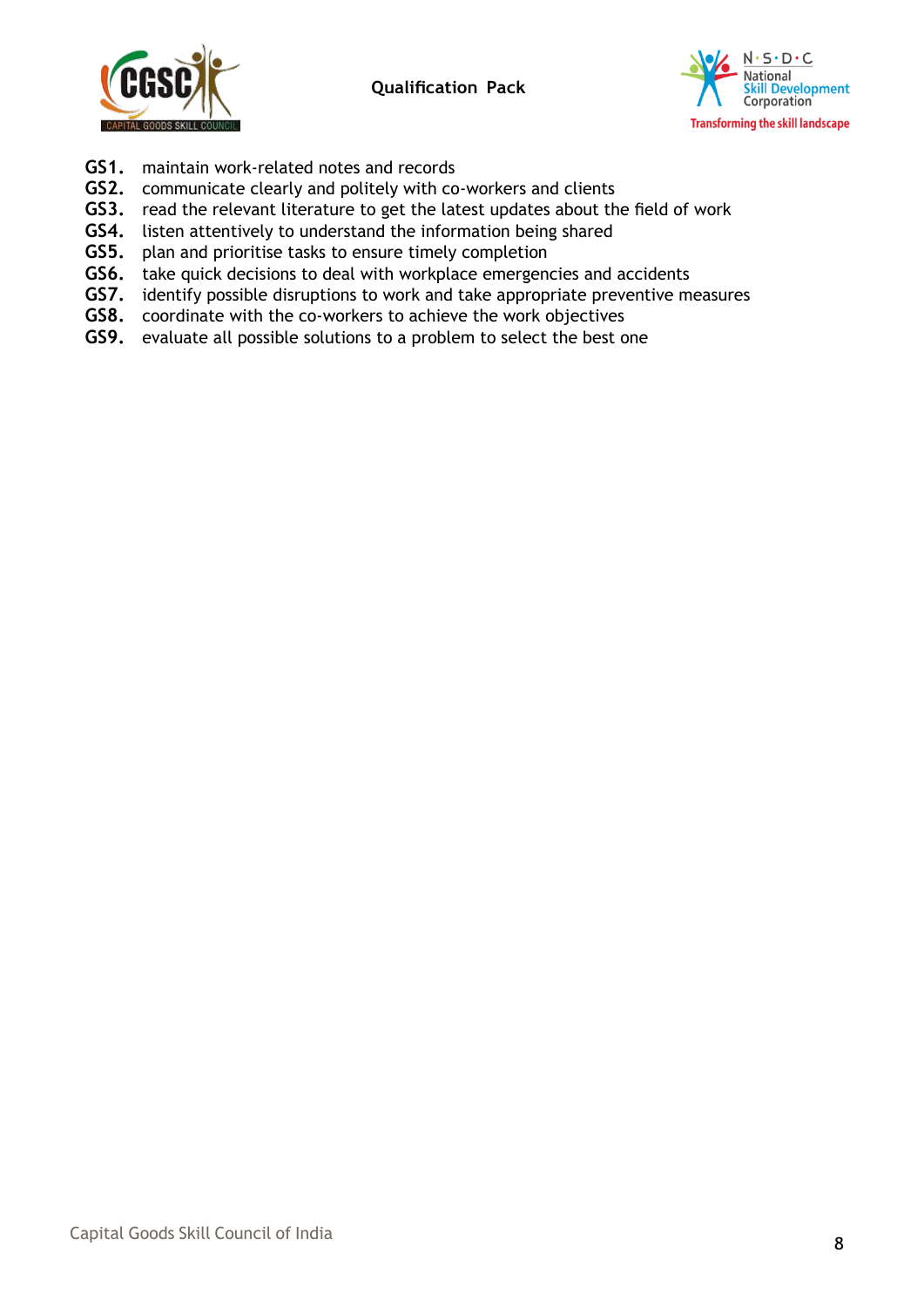



- **GS1.** maintain work-related notes and records
- **GS2.** communicate clearly and politely with co-workers and clients
- **GS3.** read the relevant literature to get the latest updates about the field of work
- **GS4.** listen attentively to understand the information being shared
- **GS5.** plan and prioritise tasks to ensure timely completion
- **GS6.** take quick decisions to deal with workplace emergencies and accidents
- **GS7.** identify possible disruptions to work and take appropriate preventive measures
- **GS8.** coordinate with the co-workers to achieve the work objectives
- **GS9.** evaluate all possible solutions to a problem to select the best one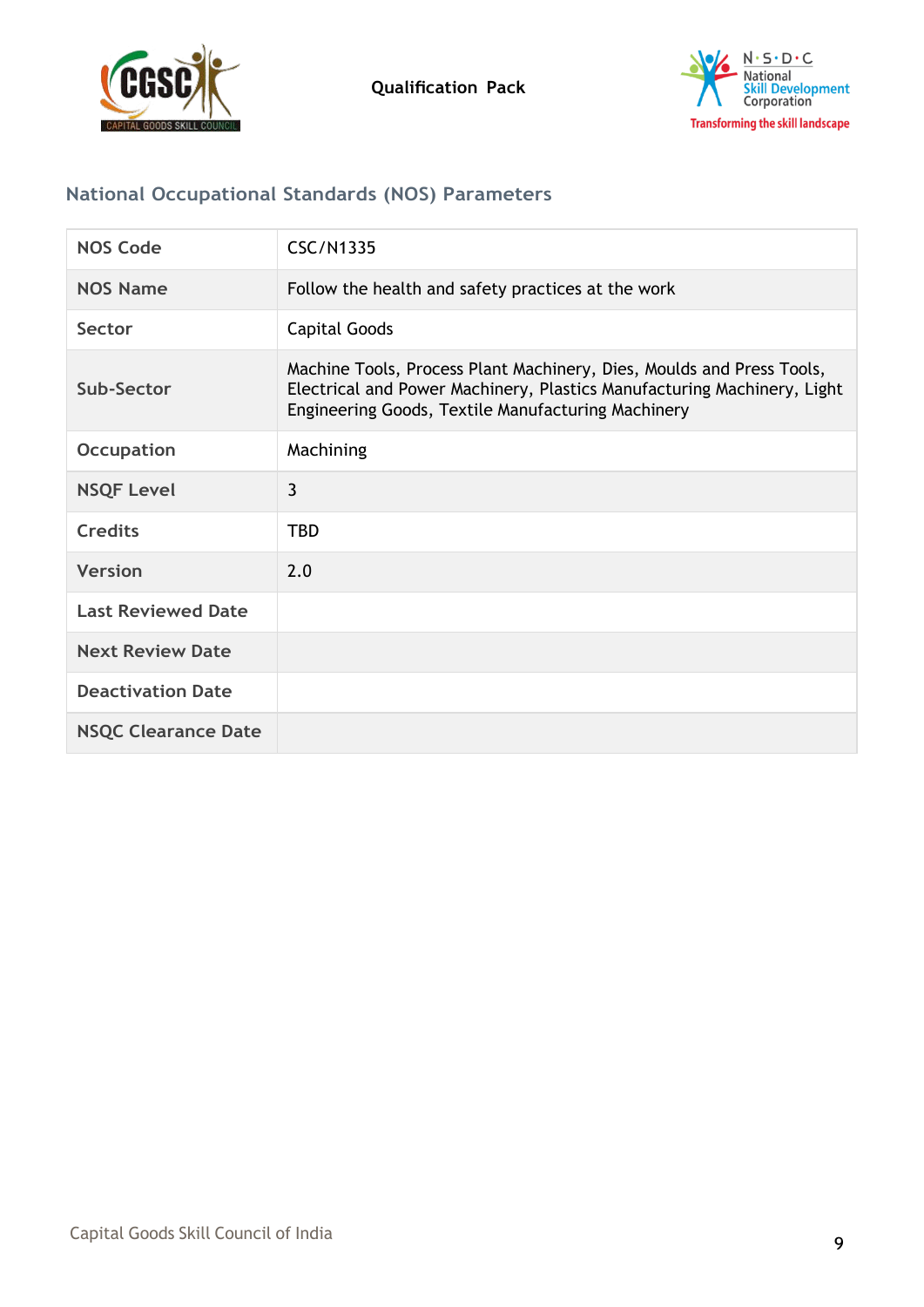



# **National Occupational Standards (NOS) Parameters**

| <b>NOS Code</b>            | <b>CSC/N1335</b>                                                                                                                                                                                       |
|----------------------------|--------------------------------------------------------------------------------------------------------------------------------------------------------------------------------------------------------|
| <b>NOS Name</b>            | Follow the health and safety practices at the work                                                                                                                                                     |
| Sector                     | <b>Capital Goods</b>                                                                                                                                                                                   |
| Sub-Sector                 | Machine Tools, Process Plant Machinery, Dies, Moulds and Press Tools,<br>Electrical and Power Machinery, Plastics Manufacturing Machinery, Light<br>Engineering Goods, Textile Manufacturing Machinery |
| <b>Occupation</b>          | Machining                                                                                                                                                                                              |
| <b>NSQF Level</b>          | 3                                                                                                                                                                                                      |
| <b>Credits</b>             | <b>TBD</b>                                                                                                                                                                                             |
| <b>Version</b>             | 2.0                                                                                                                                                                                                    |
| <b>Last Reviewed Date</b>  |                                                                                                                                                                                                        |
| <b>Next Review Date</b>    |                                                                                                                                                                                                        |
| <b>Deactivation Date</b>   |                                                                                                                                                                                                        |
| <b>NSQC Clearance Date</b> |                                                                                                                                                                                                        |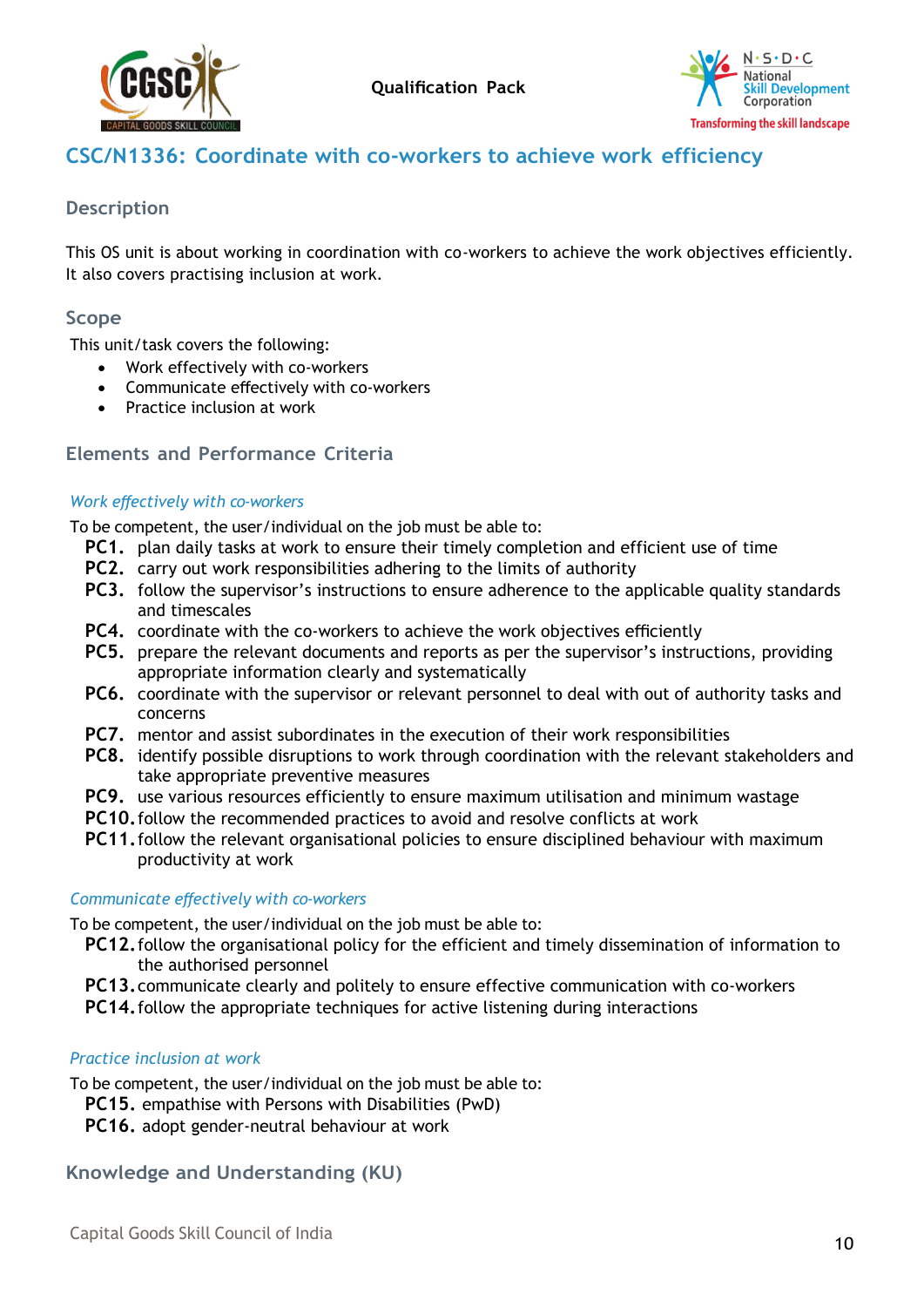



# <span id="page-9-0"></span>**CSC/N1336: Coordinate with co-workers to achieve work efficiency**

#### **Description**

This OS unit is about working in coordination with co-workers to achieve the work objectives efficiently. It also covers practising inclusion at work.

#### **Scope**

This unit/task covers the following:

- Work effectively with co-workers
- Communicate effectively with co-workers
- Practice inclusion at work

#### **Elements and Performance Criteria**

#### *Work effectively with co-workers*

To be competent, the user/individual on the job must be able to:

- **PC1.** plan daily tasks at work to ensure their timely completion and efficient use of time
- **PC2.** carry out work responsibilities adhering to the limits of authority
- **PC3.** follow the supervisor's instructions to ensure adherence to the applicable quality standards and timescales
- **PC4.** coordinate with the co-workers to achieve the work objectives efficiently
- **PC5.** prepare the relevant documents and reports as per the supervisor's instructions, providing appropriate information clearly and systematically
- **PC6.** coordinate with the supervisor or relevant personnel to deal with out of authority tasks and concerns
- **PC7.** mentor and assist subordinates in the execution of their work responsibilities
- **PC8.** identify possible disruptions to work through coordination with the relevant stakeholders and take appropriate preventive measures
- **PC9.** use various resources efficiently to ensure maximum utilisation and minimum wastage
- **PC10.**follow the recommended practices to avoid and resolve conflicts at work
- **PC11.**follow the relevant organisational policies to ensure disciplined behaviour with maximum productivity at work

#### *Communicate effectively with co-workers*

To be competent, the user/individual on the job must be able to:

- **PC12.**follow the organisational policy for the efficient and timely dissemination of information to the authorised personnel
- **PC13.**communicate clearly and politely to ensure effective communication with co-workers
- **PC14.**follow the appropriate techniques for active listening during interactions

#### *Practice inclusion at work*

To be competent, the user/individual on the job must be able to:

- **PC15.** empathise with Persons with Disabilities (PwD)
- **PC16.** adopt gender-neutral behaviour at work

#### **Knowledge and Understanding (KU)**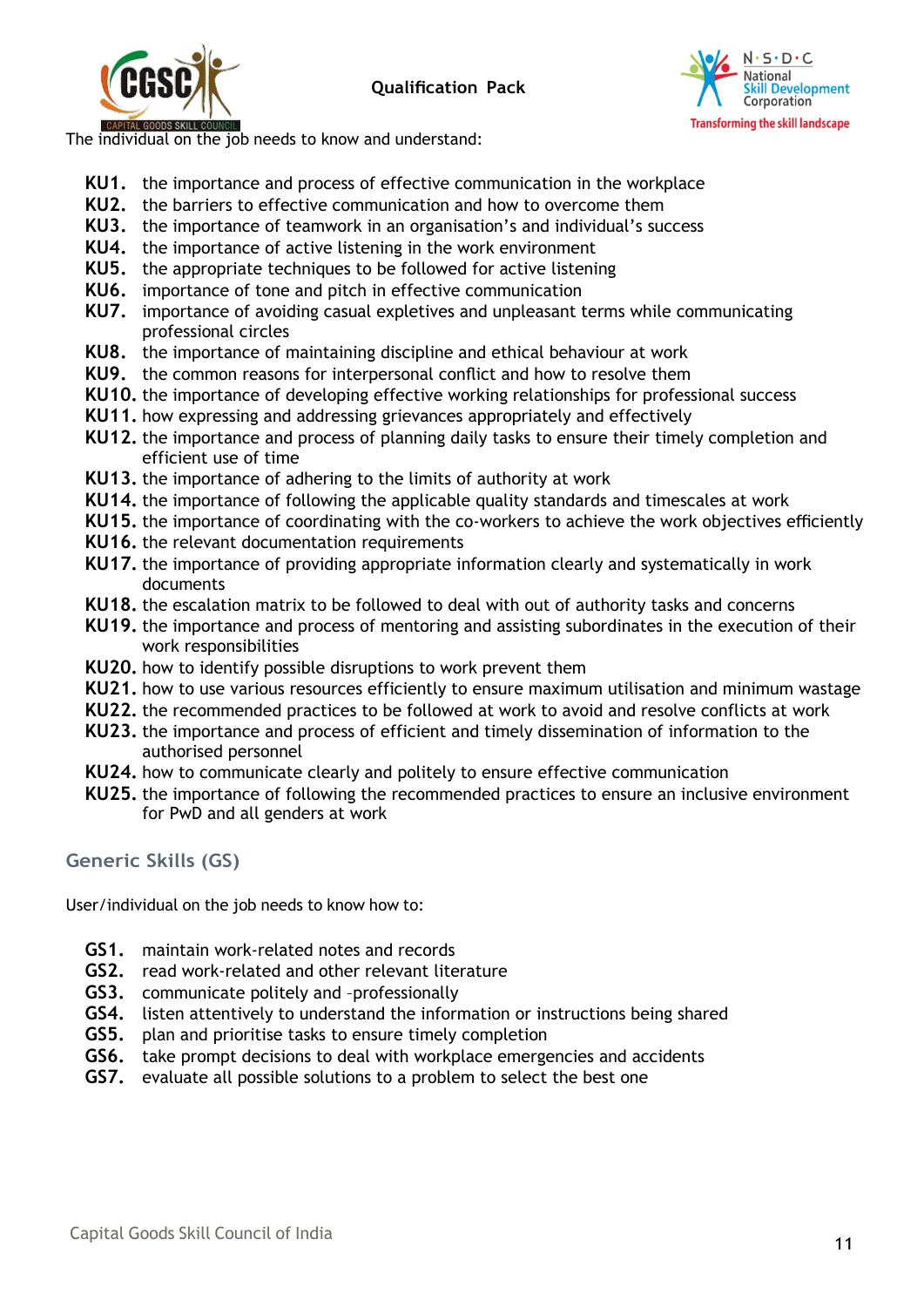



The individual on the job needs to know and understand:

- **KU1.** the importance and process of effective communication in the workplace
- **KU2.** the barriers to effective communication and how to overcome them
- **KU3.** the importance of teamwork in an organisation's and individual's success
- **KU4.** the importance of active listening in the work environment
- **KU5.** the appropriate techniques to be followed for active listening
- **KU6.** importance of tone and pitch in effective communication
- **KU7.** importance of avoiding casual expletives and unpleasant terms while communicating professional circles
- **KU8.** the importance of maintaining discipline and ethical behaviour at work
- **KU9.** the common reasons for interpersonal conflict and how to resolve them
- **KU10.** the importance of developing effective working relationships for professional success
- **KU11.** how expressing and addressing grievances appropriately and effectively
- **KU12.** the importance and process of planning daily tasks to ensure their timely completion and efficient use of time
- **KU13.** the importance of adhering to the limits of authority at work
- **KU14.** the importance of following the applicable quality standards and timescales at work
- **KU15.** the importance of coordinating with the co-workers to achieve the work objectives efficiently
- **KU16.** the relevant documentation requirements
- **KU17.** the importance of providing appropriate information clearly and systematically in work documents
- **KU18.** the escalation matrix to be followed to deal with out of authority tasks and concerns
- **KU19.** the importance and process of mentoring and assisting subordinates in the execution of their work responsibilities
- **KU20.** how to identify possible disruptions to work prevent them
- **KU21.** how to use various resources efficiently to ensure maximum utilisation and minimum wastage
- **KU22.** the recommended practices to be followed at work to avoid and resolve conflicts at work
- **KU23.** the importance and process of efficient and timely dissemination of information to the authorised personnel
- **KU24.** how to communicate clearly and politely to ensure effective communication
- **KU25.** the importance of following the recommended practices to ensure an inclusive environment for PwD and all genders at work

# **Generic Skills (GS)**

User/individual on the job needs to know how to:

- **GS1.** maintain work-related notes and records
- **GS2.** read work-related and other relevant literature
- **GS3.** communicate politely and –professionally
- **GS4.** listen attentively to understand the information or instructions being shared
- **GS5.** plan and prioritise tasks to ensure timely completion
- **GS6.** take prompt decisions to deal with workplace emergencies and accidents
- **GS7.** evaluate all possible solutions to a problem to select the best one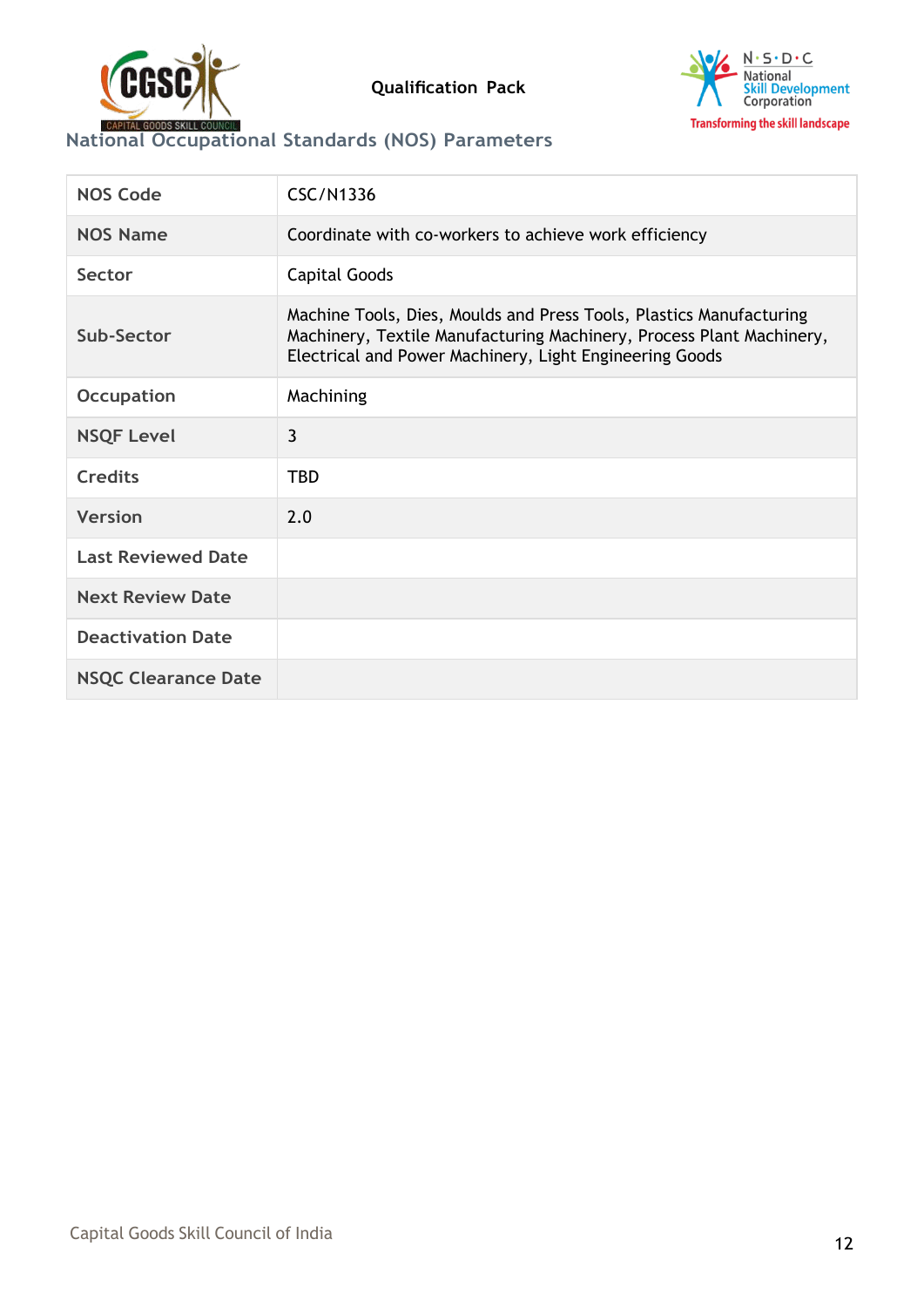



# **National Occupational Standards (NOS) Parameters**

| <b>NOS Code</b>            | <b>CSC/N1336</b>                                                                                                                                                                                       |
|----------------------------|--------------------------------------------------------------------------------------------------------------------------------------------------------------------------------------------------------|
| <b>NOS Name</b>            | Coordinate with co-workers to achieve work efficiency                                                                                                                                                  |
| Sector                     | <b>Capital Goods</b>                                                                                                                                                                                   |
| Sub-Sector                 | Machine Tools, Dies, Moulds and Press Tools, Plastics Manufacturing<br>Machinery, Textile Manufacturing Machinery, Process Plant Machinery,<br>Electrical and Power Machinery, Light Engineering Goods |
| <b>Occupation</b>          | Machining                                                                                                                                                                                              |
| <b>NSQF Level</b>          | 3                                                                                                                                                                                                      |
| <b>Credits</b>             | <b>TBD</b>                                                                                                                                                                                             |
| <b>Version</b>             | 2.0                                                                                                                                                                                                    |
| <b>Last Reviewed Date</b>  |                                                                                                                                                                                                        |
| <b>Next Review Date</b>    |                                                                                                                                                                                                        |
| <b>Deactivation Date</b>   |                                                                                                                                                                                                        |
| <b>NSQC Clearance Date</b> |                                                                                                                                                                                                        |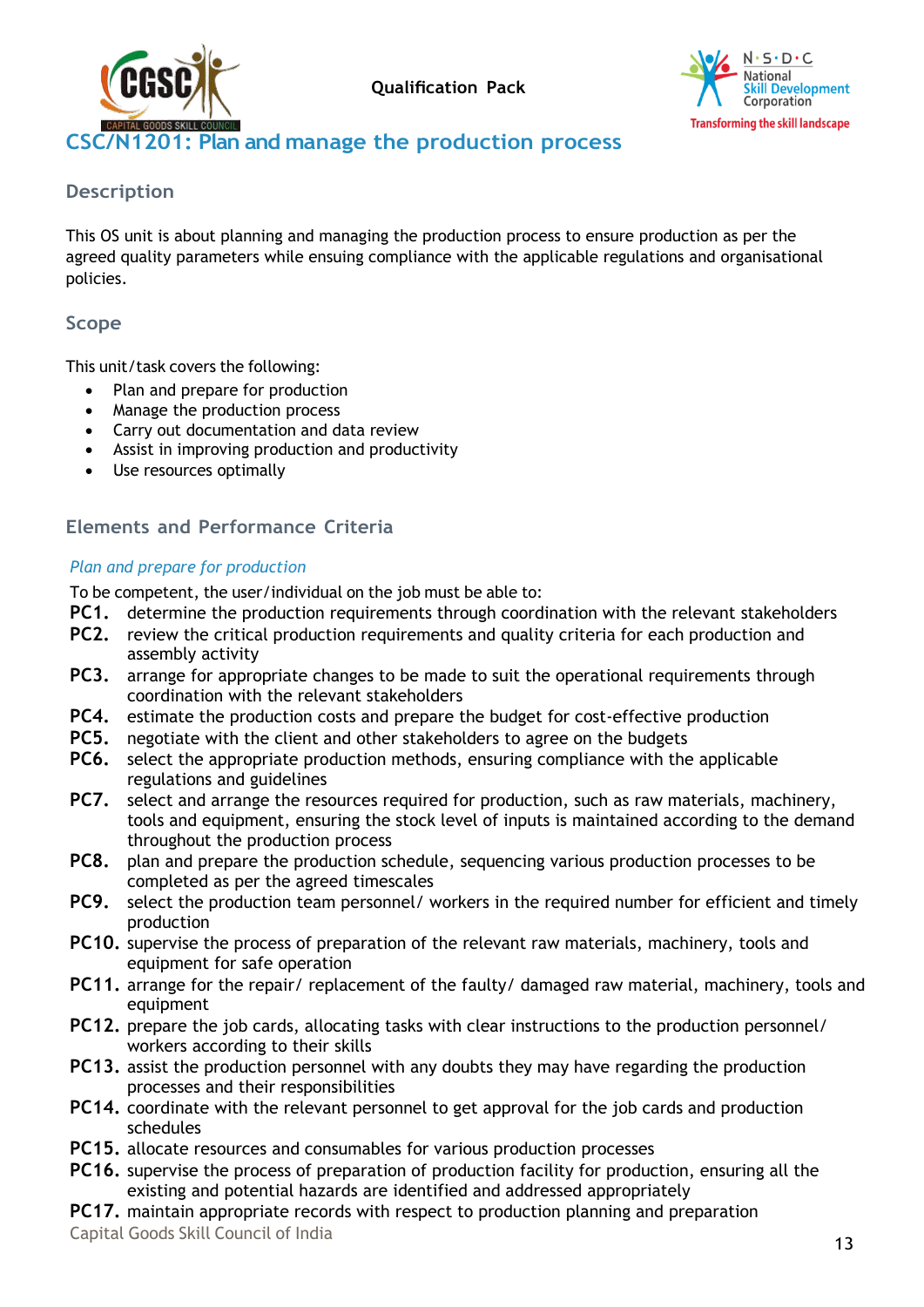



# <span id="page-12-0"></span>**CSC/N1201: Plan and manage the production process**

#### **Description**

This OS unit is about planning and managing the production process to ensure production as per the agreed quality parameters while ensuing compliance with the applicable regulations and organisational policies.

### **Scope**

This unit/task covers the following:

- Plan and prepare for production
- Manage the production process
- Carry out documentation and data review
- Assist in improving production and productivity
- Use resources optimally

# **Elements and Performance Criteria**

#### *Plan and prepare for production*

To be competent, the user/individual on the job must be able to:

- **PC1.** determine the production requirements through coordination with the relevant stakeholders
- **PC2.** review the critical production requirements and quality criteria for each production and assembly activity
- **PC3.** arrange for appropriate changes to be made to suit the operational requirements through coordination with the relevant stakeholders
- **PC4.** estimate the production costs and prepare the budget for cost-effective production
- **PC5.** negotiate with the client and other stakeholders to agree on the budgets
- **PC6.** select the appropriate production methods, ensuring compliance with the applicable regulations and guidelines
- **PC7.** select and arrange the resources required for production, such as raw materials, machinery, tools and equipment, ensuring the stock level of inputs is maintained according to the demand throughout the production process
- **PC8.** plan and prepare the production schedule, sequencing various production processes to be completed as per the agreed timescales
- **PC9.** select the production team personnel/ workers in the required number for efficient and timely production
- **PC10.** supervise the process of preparation of the relevant raw materials, machinery, tools and equipment for safe operation
- **PC11.** arrange for the repair/ replacement of the faulty/ damaged raw material, machinery, tools and equipment
- **PC12.** prepare the job cards, allocating tasks with clear instructions to the production personnel/ workers according to their skills
- **PC13.** assist the production personnel with any doubts they may have regarding the production processes and their responsibilities
- **PC14.** coordinate with the relevant personnel to get approval for the job cards and production schedules
- **PC15.** allocate resources and consumables for various production processes
- **PC16.** supervise the process of preparation of production facility for production, ensuring all the existing and potential hazards are identified and addressed appropriately
- **PC17.** maintain appropriate records with respect to production planning and preparation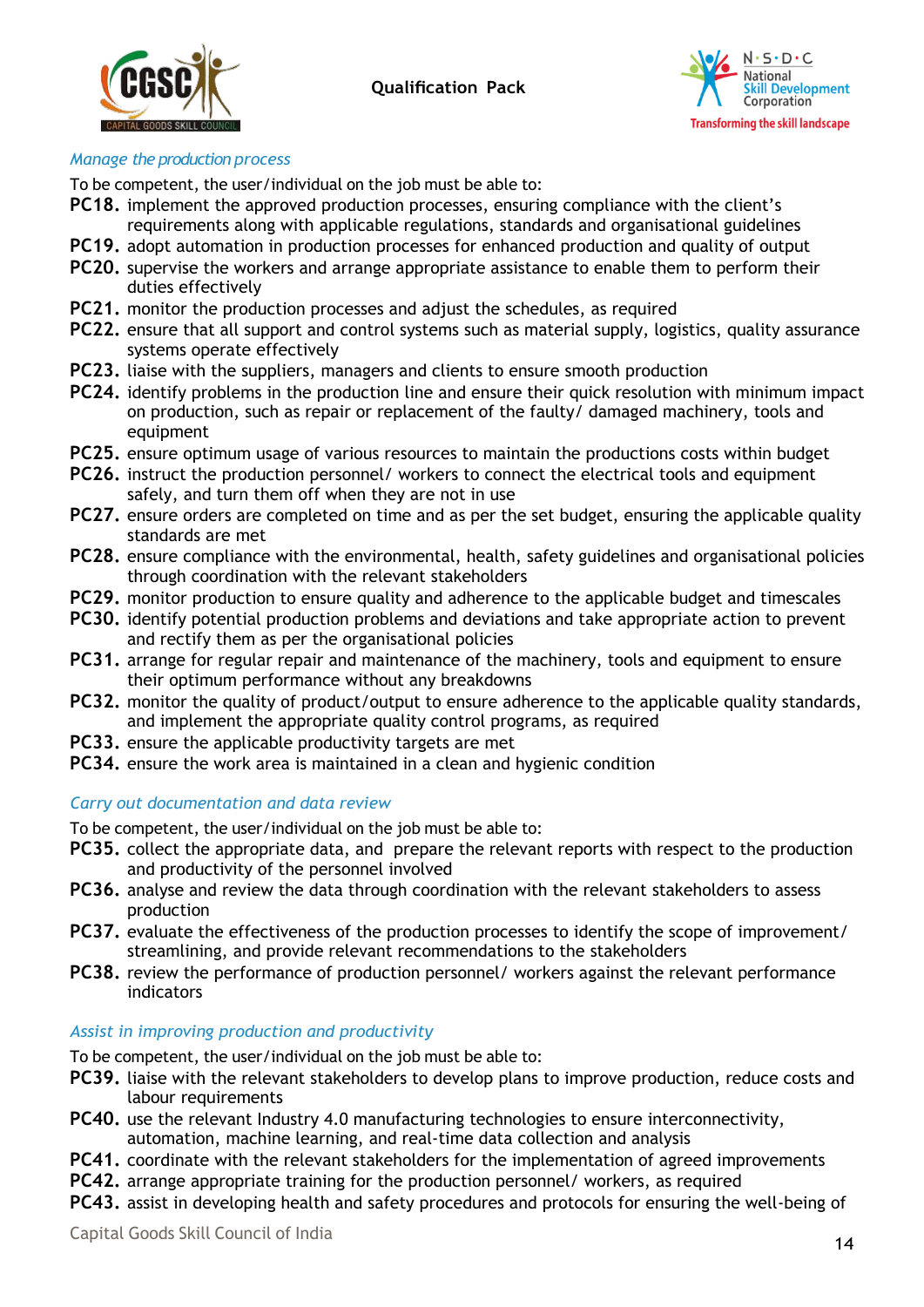



#### *Manage the production process*

To be competent, the user/individual on the job must be able to:

- **PC18.** implement the approved production processes, ensuring compliance with the client's requirements along with applicable regulations, standards and organisational guidelines
- **PC19.** adopt automation in production processes for enhanced production and quality of output
- **PC20.** supervise the workers and arrange appropriate assistance to enable them to perform their duties effectively
- **PC21.** monitor the production processes and adjust the schedules, as required
- **PC22.** ensure that all support and control systems such as material supply, logistics, quality assurance systems operate effectively
- **PC23.** liaise with the suppliers, managers and clients to ensure smooth production
- **PC24.** identify problems in the production line and ensure their quick resolution with minimum impact on production, such as repair or replacement of the faulty/ damaged machinery, tools and equipment
- **PC25.** ensure optimum usage of various resources to maintain the productions costs within budget
- **PC26.** instruct the production personnel/ workers to connect the electrical tools and equipment safely, and turn them off when they are not in use
- **PC27.** ensure orders are completed on time and as per the set budget, ensuring the applicable quality standards are met
- **PC28.** ensure compliance with the environmental, health, safety guidelines and organisational policies through coordination with the relevant stakeholders
- **PC29.** monitor production to ensure quality and adherence to the applicable budget and timescales
- **PC30.** identify potential production problems and deviations and take appropriate action to prevent and rectify them as per the organisational policies
- **PC31.** arrange for regular repair and maintenance of the machinery, tools and equipment to ensure their optimum performance without any breakdowns
- **PC32.** monitor the quality of product/output to ensure adherence to the applicable quality standards, and implement the appropriate quality control programs, as required
- **PC33.** ensure the applicable productivity targets are met
- **PC34.** ensure the work area is maintained in a clean and hygienic condition

#### *Carry out documentation and data review*

To be competent, the user/individual on the job must be able to:

- **PC35.** collect the appropriate data, and prepare the relevant reports with respect to the production and productivity of the personnel involved
- **PC36.** analyse and review the data through coordination with the relevant stakeholders to assess production
- **PC37.** evaluate the effectiveness of the production processes to identify the scope of improvement/ streamlining, and provide relevant recommendations to the stakeholders
- **PC38.** review the performance of production personnel/ workers against the relevant performance indicators

#### *Assist in improving production and productivity*

To be competent, the user/individual on the job must be able to:

- **PC39.** liaise with the relevant stakeholders to develop plans to improve production, reduce costs and labour requirements
- **PC40.** use the relevant Industry 4.0 manufacturing technologies to ensure interconnectivity, automation, machine learning, and real-time data collection and analysis
- **PC41.** coordinate with the relevant stakeholders for the implementation of agreed improvements
- **PC42.** arrange appropriate training for the production personnel/ workers, as required
- **PC43.** assist in developing health and safety procedures and protocols for ensuring the well-being of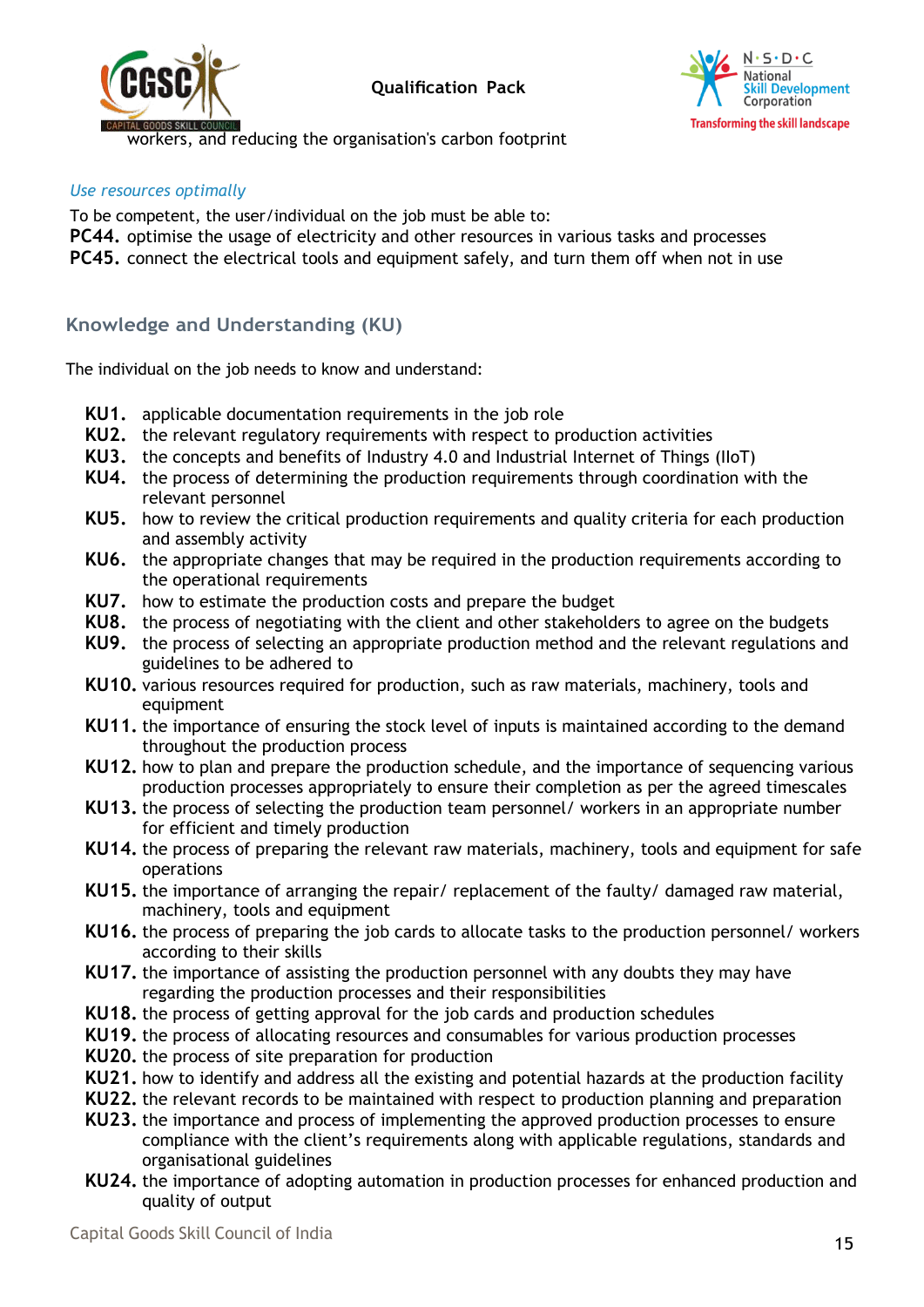





workers, and reducing the organisation's carbon footprint

#### *Use resources optimally*

To be competent, the user/individual on the job must be able to:

- **PC44.** optimise the usage of electricity and other resources in various tasks and processes
- **PC45.** connect the electrical tools and equipment safely, and turn them off when not in use

# **Knowledge and Understanding (KU)**

The individual on the job needs to know and understand:

- **KU1.** applicable documentation requirements in the job role
- **KU2.** the relevant regulatory requirements with respect to production activities
- **KU3.** the concepts and benefits of Industry 4.0 and Industrial Internet of Things (IIoT)
- **KU4.** the process of determining the production requirements through coordination with the relevant personnel
- **KU5.** how to review the critical production requirements and quality criteria for each production and assembly activity
- **KU6.** the appropriate changes that may be required in the production requirements according to the operational requirements
- **KU7.** how to estimate the production costs and prepare the budget
- **KU8.** the process of negotiating with the client and other stakeholders to agree on the budgets
- **KU9.** the process of selecting an appropriate production method and the relevant regulations and guidelines to be adhered to
- **KU10.** various resources required for production, such as raw materials, machinery, tools and equipment
- **KU11.** the importance of ensuring the stock level of inputs is maintained according to the demand throughout the production process
- **KU12.** how to plan and prepare the production schedule, and the importance of sequencing various production processes appropriately to ensure their completion as per the agreed timescales
- **KU13.** the process of selecting the production team personnel/ workers in an appropriate number for efficient and timely production
- **KU14.** the process of preparing the relevant raw materials, machinery, tools and equipment for safe operations
- **KU15.** the importance of arranging the repair/ replacement of the faulty/ damaged raw material, machinery, tools and equipment
- **KU16.** the process of preparing the job cards to allocate tasks to the production personnel/ workers according to their skills
- **KU17.** the importance of assisting the production personnel with any doubts they may have regarding the production processes and their responsibilities
- **KU18.** the process of getting approval for the job cards and production schedules
- **KU19.** the process of allocating resources and consumables for various production processes
- **KU20.** the process of site preparation for production
- **KU21.** how to identify and address all the existing and potential hazards at the production facility
- **KU22.** the relevant records to be maintained with respect to production planning and preparation
- **KU23.** the importance and process of implementing the approved production processes to ensure compliance with the client's requirements along with applicable regulations, standards and organisational guidelines
- **KU24.** the importance of adopting automation in production processes for enhanced production and quality of output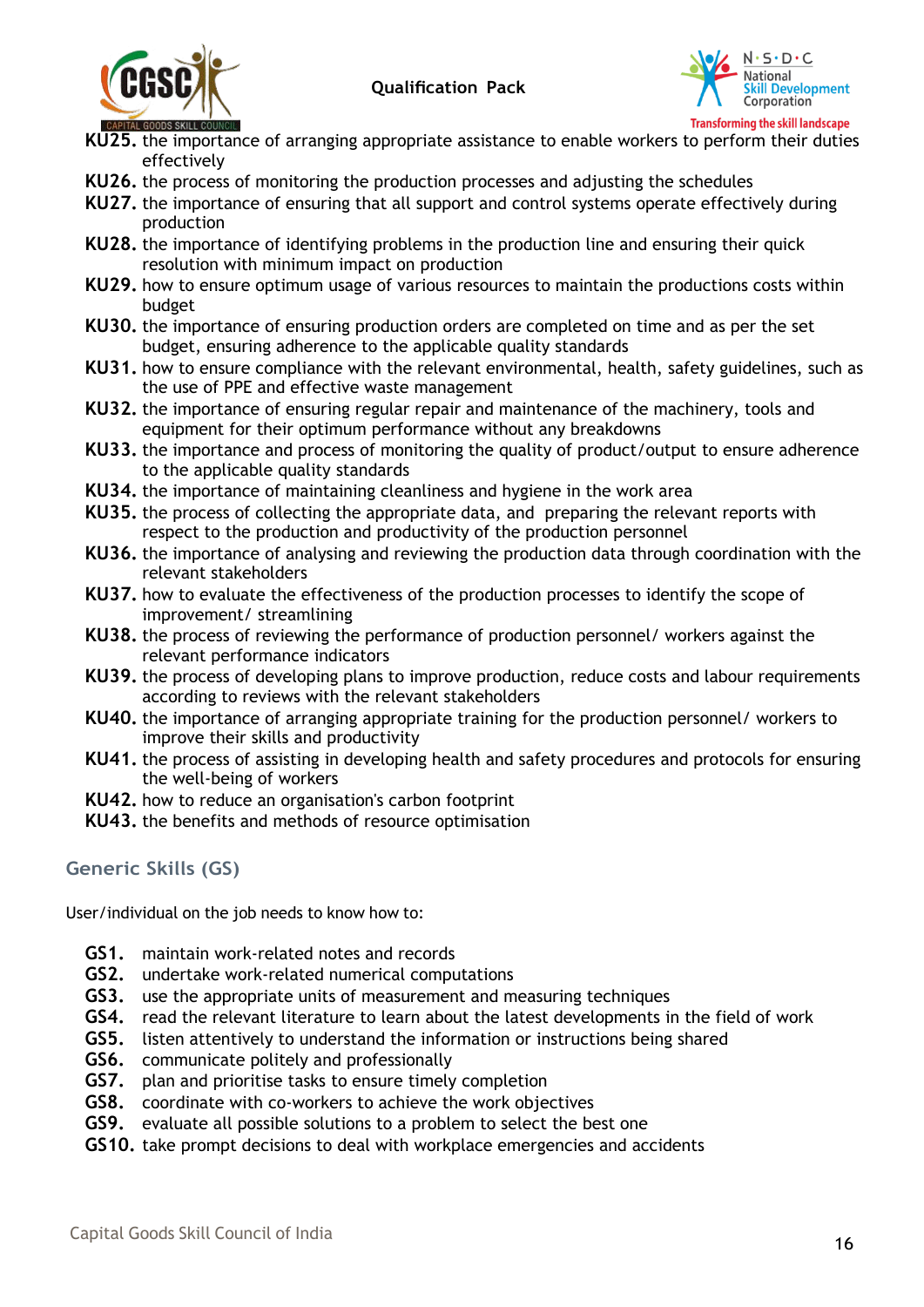



- **KU25.** the importance of arranging appropriate assistance to enable workers to perform their duties effectively
- **KU26.** the process of monitoring the production processes and adjusting the schedules
- **KU27.** the importance of ensuring that all support and control systems operate effectively during production
- **KU28.** the importance of identifying problems in the production line and ensuring their quick resolution with minimum impact on production
- **KU29.** how to ensure optimum usage of various resources to maintain the productions costs within budget
- **KU30.** the importance of ensuring production orders are completed on time and as per the set budget, ensuring adherence to the applicable quality standards
- **KU31.** how to ensure compliance with the relevant environmental, health, safety guidelines, such as the use of PPE and effective waste management
- **KU32.** the importance of ensuring regular repair and maintenance of the machinery, tools and equipment for their optimum performance without any breakdowns
- **KU33.** the importance and process of monitoring the quality of product/output to ensure adherence to the applicable quality standards
- **KU34.** the importance of maintaining cleanliness and hygiene in the work area
- **KU35.** the process of collecting the appropriate data, and preparing the relevant reports with respect to the production and productivity of the production personnel
- **KU36.** the importance of analysing and reviewing the production data through coordination with the relevant stakeholders
- **KU37.** how to evaluate the effectiveness of the production processes to identify the scope of improvement/ streamlining
- **KU38.** the process of reviewing the performance of production personnel/ workers against the relevant performance indicators
- **KU39.** the process of developing plans to improve production, reduce costs and labour requirements according to reviews with the relevant stakeholders
- **KU40.** the importance of arranging appropriate training for the production personnel/ workers to improve their skills and productivity
- **KU41.** the process of assisting in developing health and safety procedures and protocols for ensuring the well-being of workers
- **KU42.** how to reduce an organisation's carbon footprint
- **KU43.** the benefits and methods of resource optimisation

#### **Generic Skills (GS)**

User/individual on the job needs to know how to:

- **GS1.** maintain work-related notes and records
- **GS2.** undertake work-related numerical computations
- **GS3.** use the appropriate units of measurement and measuring techniques
- **GS4.** read the relevant literature to learn about the latest developments in the field of work
- **GS5.** listen attentively to understand the information or instructions being shared
- **GS6.** communicate politely and professionally
- **GS7.** plan and prioritise tasks to ensure timely completion
- **GS8.** coordinate with co-workers to achieve the work objectives
- **GS9.** evaluate all possible solutions to a problem to select the best one
- **GS10.** take prompt decisions to deal with workplace emergencies and accidents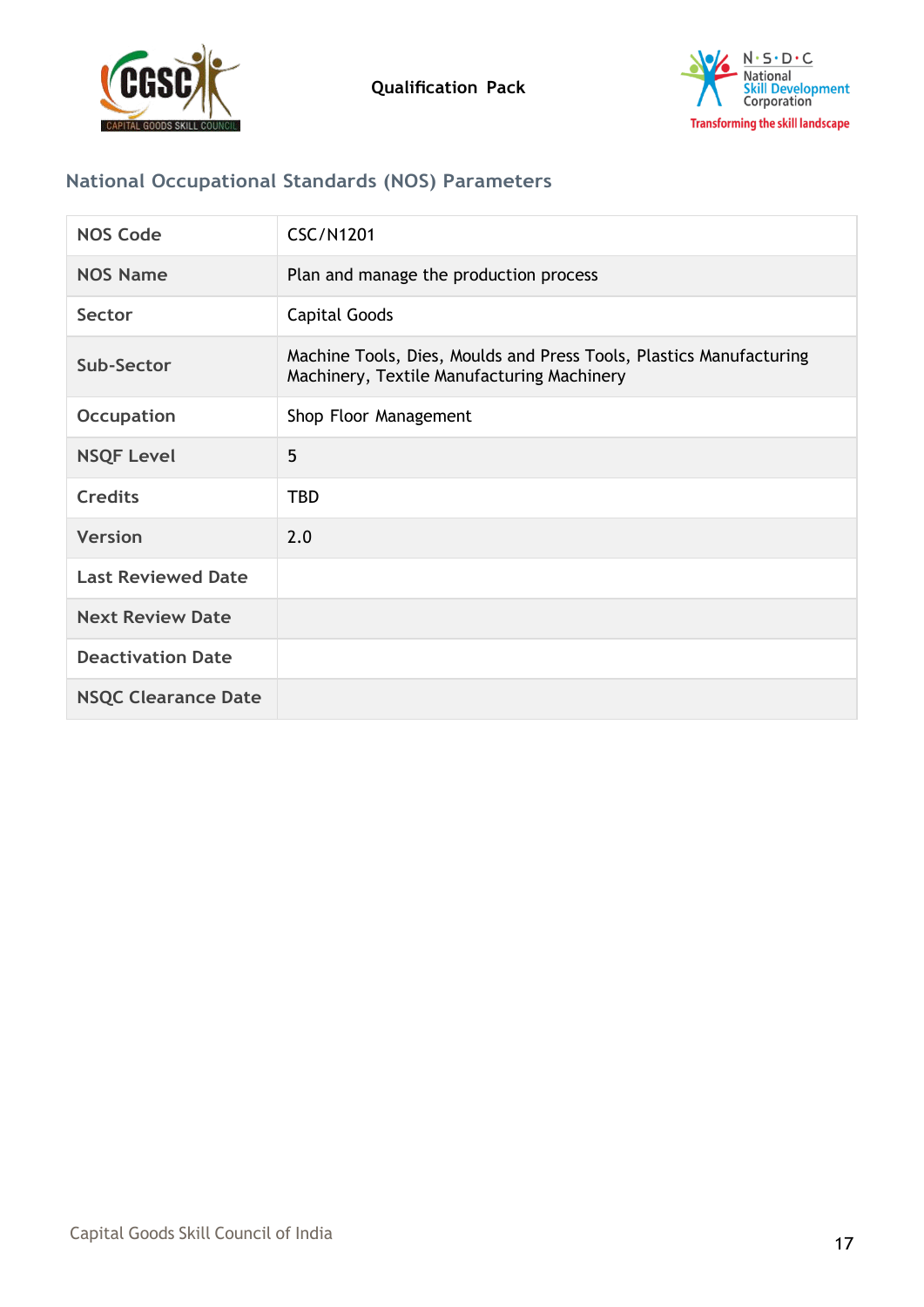



# **National Occupational Standards (NOS) Parameters**

| <b>NOS Code</b>            | <b>CSC/N1201</b>                                                                                                  |
|----------------------------|-------------------------------------------------------------------------------------------------------------------|
| <b>NOS Name</b>            | Plan and manage the production process                                                                            |
| Sector                     | Capital Goods                                                                                                     |
| Sub-Sector                 | Machine Tools, Dies, Moulds and Press Tools, Plastics Manufacturing<br>Machinery, Textile Manufacturing Machinery |
| <b>Occupation</b>          | Shop Floor Management                                                                                             |
| <b>NSQF Level</b>          | 5                                                                                                                 |
| <b>Credits</b>             | <b>TBD</b>                                                                                                        |
| <b>Version</b>             | 2.0                                                                                                               |
| <b>Last Reviewed Date</b>  |                                                                                                                   |
| <b>Next Review Date</b>    |                                                                                                                   |
| <b>Deactivation Date</b>   |                                                                                                                   |
| <b>NSQC Clearance Date</b> |                                                                                                                   |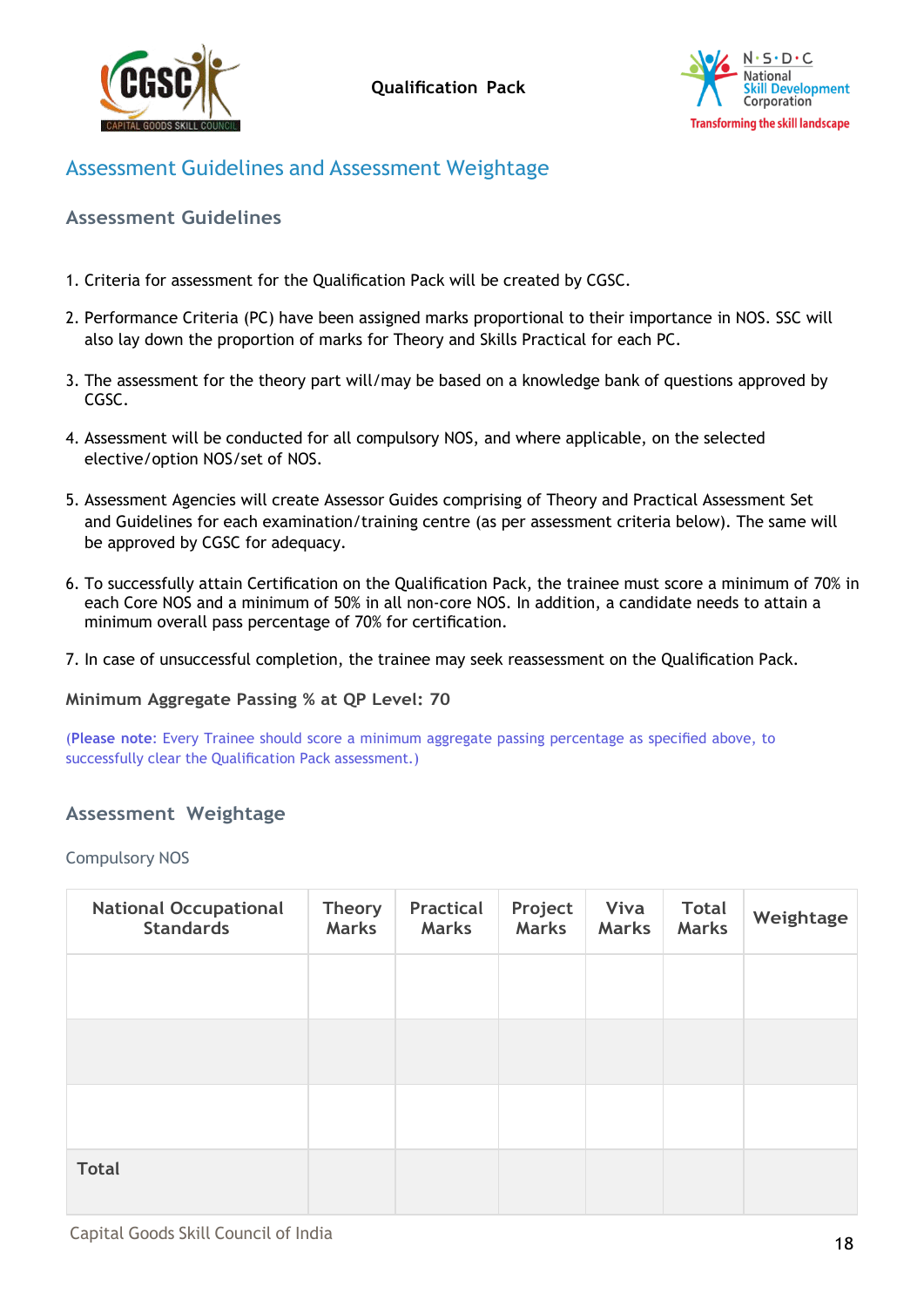



# Assessment Guidelines and Assessment Weightage

#### <span id="page-17-0"></span>**Assessment Guidelines**

- 1. Criteria for assessment for the Qualification Pack will be created by CGSC.
- 2. Performance Criteria (PC) have been assigned marks proportional to their importance in NOS. SSC will also lay down the proportion of marks for Theory and Skills Practical for each PC.
- 3. The assessment for the theory part will/may be based on a knowledge bank of questions approved by CGSC.
- 4. Assessment will be conducted for all compulsory NOS, and where applicable, on the selected elective/option NOS/set of NOS.
- 5. Assessment Agencies will create Assessor Guides comprising of Theory and Practical Assessment Set and Guidelines for each examination/training centre (as per assessment criteria below). The same will be approved by CGSC for adequacy.
- 6. To successfully attain Certification on the Qualification Pack, the trainee must score a minimum of 70% in each Core NOS and a minimum of 50% in all non-core NOS. In addition, a candidate needs to attain a minimum overall pass percentage of 70% for certification.
- 7. In case of unsuccessful completion, the trainee may seek reassessment on the Qualification Pack.

**Minimum Aggregate Passing % at QP Level: 70**

(**Please note**: Every Trainee should score a minimum aggregate passing percentage as specified above, to successfully clear the Qualification Pack assessment.)

#### <span id="page-17-1"></span>**Assessment Weightage**

Compulsory NOS

| <b>National Occupational</b><br><b>Standards</b> | <b>Theory</b><br><b>Marks</b> | Practical<br><b>Marks</b> | Project<br><b>Marks</b> | Viva<br><b>Marks</b> | <b>Total</b><br><b>Marks</b> | Weightage |
|--------------------------------------------------|-------------------------------|---------------------------|-------------------------|----------------------|------------------------------|-----------|
|                                                  |                               |                           |                         |                      |                              |           |
|                                                  |                               |                           |                         |                      |                              |           |
|                                                  |                               |                           |                         |                      |                              |           |
| <b>Total</b>                                     |                               |                           |                         |                      |                              |           |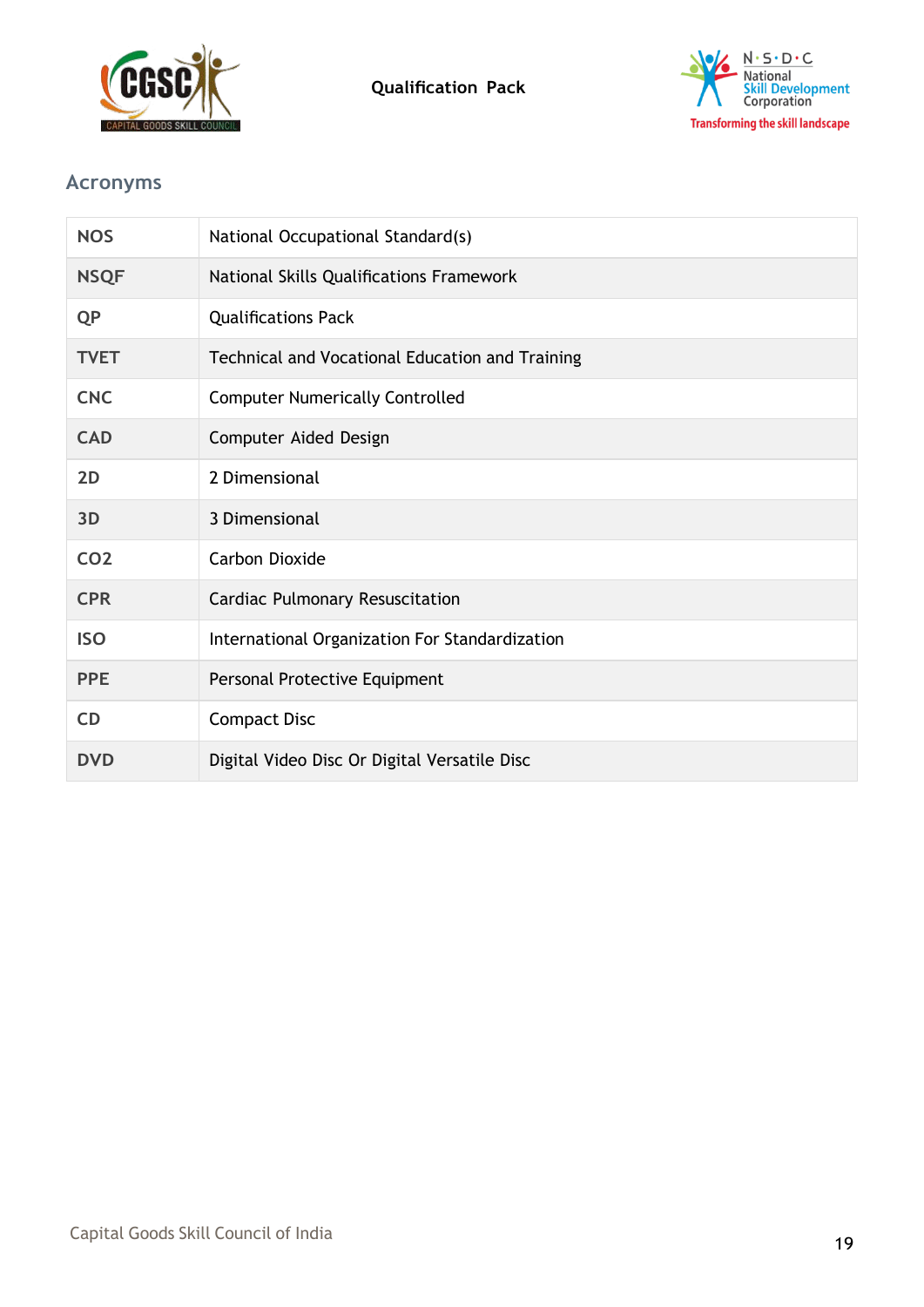



# <span id="page-18-0"></span>**Acronyms**

| <b>NOS</b>      | National Occupational Standard(s)               |
|-----------------|-------------------------------------------------|
| <b>NSQF</b>     | National Skills Qualifications Framework        |
| <b>QP</b>       | <b>Qualifications Pack</b>                      |
| <b>TVET</b>     | Technical and Vocational Education and Training |
| <b>CNC</b>      | <b>Computer Numerically Controlled</b>          |
| <b>CAD</b>      | Computer Aided Design                           |
| 2D              | 2 Dimensional                                   |
| 3D              | 3 Dimensional                                   |
| CO <sub>2</sub> | Carbon Dioxide                                  |
| <b>CPR</b>      | Cardiac Pulmonary Resuscitation                 |
| <b>ISO</b>      | International Organization For Standardization  |
| <b>PPE</b>      | Personal Protective Equipment                   |
| <b>CD</b>       | <b>Compact Disc</b>                             |
| <b>DVD</b>      | Digital Video Disc Or Digital Versatile Disc    |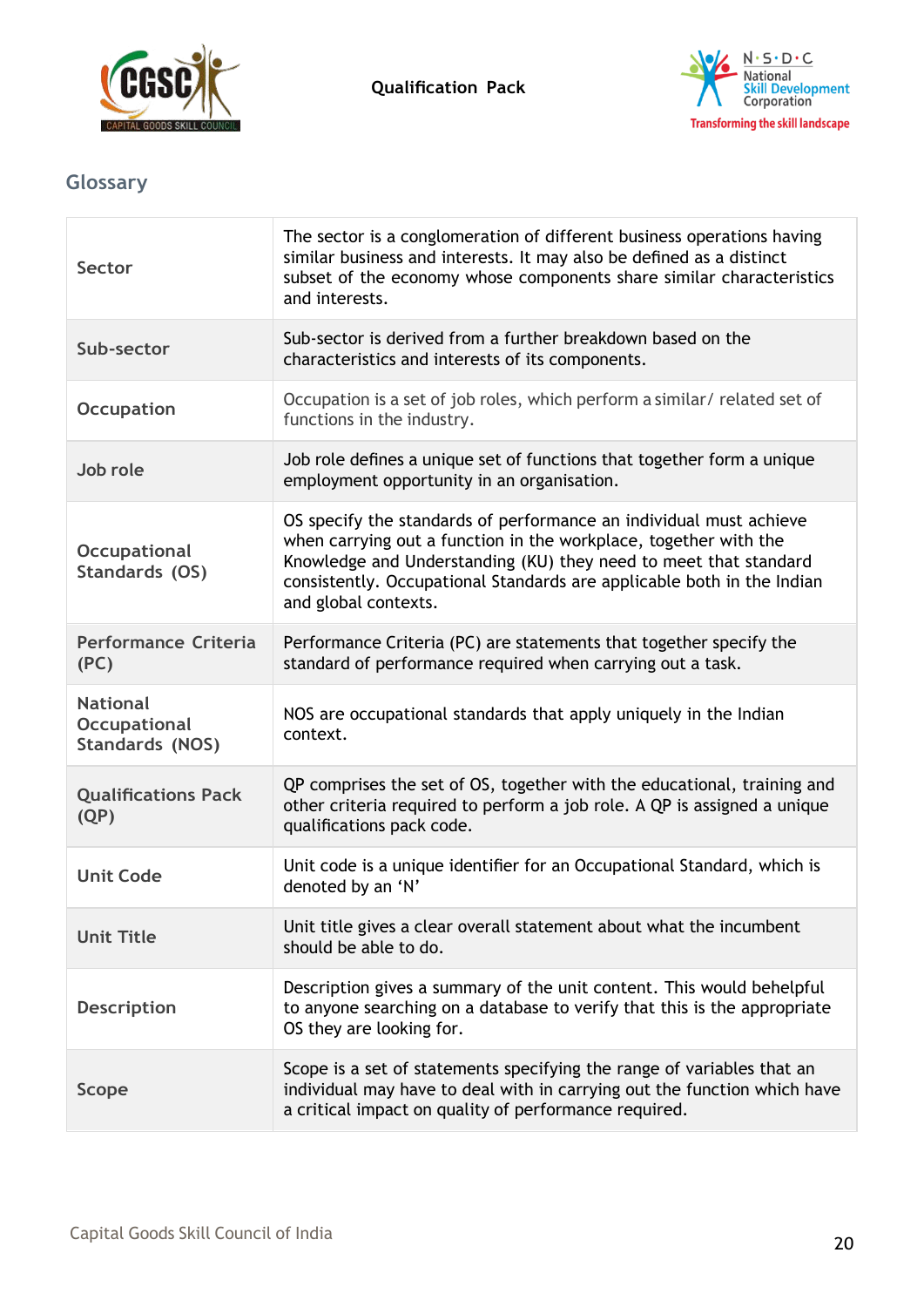



# <span id="page-19-0"></span>**Glossary**

| <b>Sector</b>                                                    | The sector is a conglomeration of different business operations having<br>similar business and interests. It may also be defined as a distinct<br>subset of the economy whose components share similar characteristics<br>and interests.                                                                     |
|------------------------------------------------------------------|--------------------------------------------------------------------------------------------------------------------------------------------------------------------------------------------------------------------------------------------------------------------------------------------------------------|
| Sub-sector                                                       | Sub-sector is derived from a further breakdown based on the<br>characteristics and interests of its components.                                                                                                                                                                                              |
| <b>Occupation</b>                                                | Occupation is a set of job roles, which perform a similar/ related set of<br>functions in the industry.                                                                                                                                                                                                      |
| Job role                                                         | Job role defines a unique set of functions that together form a unique<br>employment opportunity in an organisation.                                                                                                                                                                                         |
| <b>Occupational</b><br>Standards (OS)                            | OS specify the standards of performance an individual must achieve<br>when carrying out a function in the workplace, together with the<br>Knowledge and Understanding (KU) they need to meet that standard<br>consistently. Occupational Standards are applicable both in the Indian<br>and global contexts. |
| <b>Performance Criteria</b><br>(PC)                              | Performance Criteria (PC) are statements that together specify the<br>standard of performance required when carrying out a task.                                                                                                                                                                             |
| <b>National</b><br><b>Occupational</b><br><b>Standards (NOS)</b> | NOS are occupational standards that apply uniquely in the Indian<br>context.                                                                                                                                                                                                                                 |
| <b>Qualifications Pack</b><br>(QP)                               | QP comprises the set of OS, together with the educational, training and<br>other criteria required to perform a job role. A QP is assigned a unique<br>qualifications pack code.                                                                                                                             |
| <b>Unit Code</b>                                                 | Unit code is a unique identifier for an Occupational Standard, which is<br>denoted by an 'N'                                                                                                                                                                                                                 |
| <b>Unit Title</b>                                                | Unit title gives a clear overall statement about what the incumbent<br>should be able to do.                                                                                                                                                                                                                 |
| <b>Description</b>                                               | Description gives a summary of the unit content. This would behelpful<br>to anyone searching on a database to verify that this is the appropriate<br>OS they are looking for.                                                                                                                                |
| <b>Scope</b>                                                     | Scope is a set of statements specifying the range of variables that an<br>individual may have to deal with in carrying out the function which have<br>a critical impact on quality of performance required.                                                                                                  |